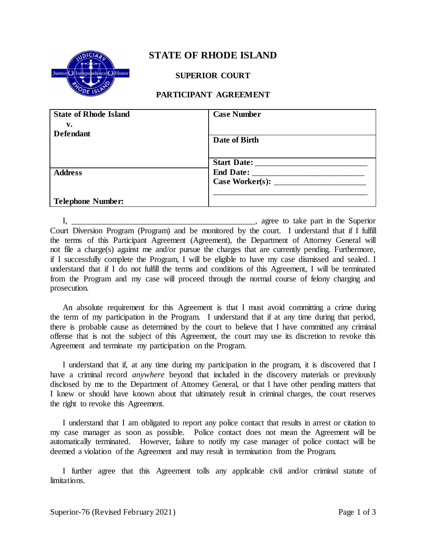

## **STATE OF RHODE ISLAND**

### **SUPERIOR COURT**

## **PARTICIPANT AGREEMENT**

| <b>State of Rhode Island</b> | <b>Case Number</b> |
|------------------------------|--------------------|
| v.                           |                    |
| <b>Defendant</b>             |                    |
|                              | Date of Birth      |
|                              |                    |
|                              | Start Date:        |
| <b>Address</b>               | End Date:          |
|                              | Case Worker(s):    |
|                              |                    |
| <b>Telephone Number:</b>     |                    |

I, the superior contract of the Superior contract of the Superior contract of the Superior contract of the Superior Court Diversion Program (Program) and be monitored by the court. I understand that if I fulfill the terms of this Participant Agreement (Agreement), the Department of Attorney General will not file a charge(s) against me and/or pursue the charges that are currently pending. Furthermore, if I successfully complete the Program, I will be eligible to have my case dismissed and sealed. I understand that if I do not fulfill the terms and conditions of this Agreement, I will be terminated from the Program and my case will proceed through the normal course of felony charging and prosecution.

An absolute requirement for this Agreement is that I must avoid committing a crime during the term of my participation in the Program. I understand that if at any time during that period, there is probable cause as determined by the court to believe that I have committed any criminal offense that is not the subject of this Agreement, the court may use its discretion to revoke this Agreement and terminate my participation on the Program.

I understand that if, at any time during my participation in the program, it is discovered that I have a criminal record *anywhere* beyond that included in the discovery materials or previously disclosed by me to the Department of Attorney General, or that I have other pending matters that I knew or should have known about that ultimately result in criminal charges, the court reserves the right to revoke this Agreement.

I understand that I am obligated to report any police contact that results in arrest or citation to my case manager as soon as possible. Police contact does not mean the Agreement will be automatically terminated. However, failure to notify my case manager of police contact will be deemed a violation of the Agreement and may result in termination from the Program.

I further agree that this Agreement tolls any applicable civil and/or criminal statute of limitations.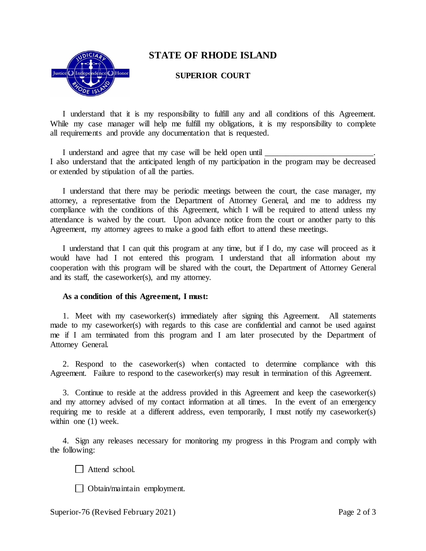

# **STATE OF RHODE ISLAND**

#### **SUPERIOR COURT**

I understand that it is my responsibility to fulfill any and all conditions of this Agreement. While my case manager will help me fulfill my obligations, it is my responsibility to complete all requirements and provide any documentation that is requested.

I understand and agree that my case will be held open until I also understand that the anticipated length of my participation in the program may be decreased or extended by stipulation of all the parties.

I understand that there may be periodic meetings between the court, the case manager, my attorney, a representative from the Department of Attorney General, and me to address my compliance with the conditions of this Agreement, which I will be required to attend unless my attendance is waived by the court. Upon advance notice from the court or another party to this Agreement, my attorney agrees to make a good faith effort to attend these meetings.

I understand that I can quit this program at any time, but if I do, my case will proceed as it would have had I not entered this program. I understand that all information about my cooperation with this program will be shared with the court, the Department of Attorney General and its staff, the caseworker(s), and my attorney.

#### **As a condition of this Agreement, I must:**

1. Meet with my caseworker(s) immediately after signing this Agreement. All statements made to my caseworker(s) with regards to this case are confidential and cannot be used against me if I am terminated from this program and I am later prosecuted by the Department of Attorney General.

2. Respond to the caseworker(s) when contacted to determine compliance with this Agreement. Failure to respond to the caseworker(s) may result in termination of this Agreement.

3. Continue to reside at the address provided in this Agreement and keep the caseworker(s) and my attorney advised of my contact information at all times. In the event of an emergency requiring me to reside at a different address, even temporarily, I must notify my caseworker(s) within one (1) week.

4. Sign any releases necessary for monitoring my progress in this Program and comply with the following:

Attend school.

Obtain/maintain employment.